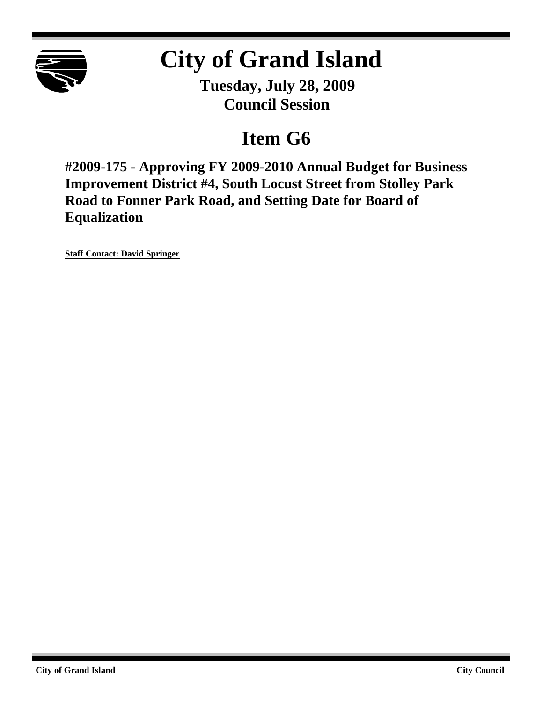

# **City of Grand Island**

**Tuesday, July 28, 2009 Council Session**

## **Item G6**

**#2009-175 - Approving FY 2009-2010 Annual Budget for Business Improvement District #4, South Locust Street from Stolley Park Road to Fonner Park Road, and Setting Date for Board of Equalization**

**Staff Contact: David Springer**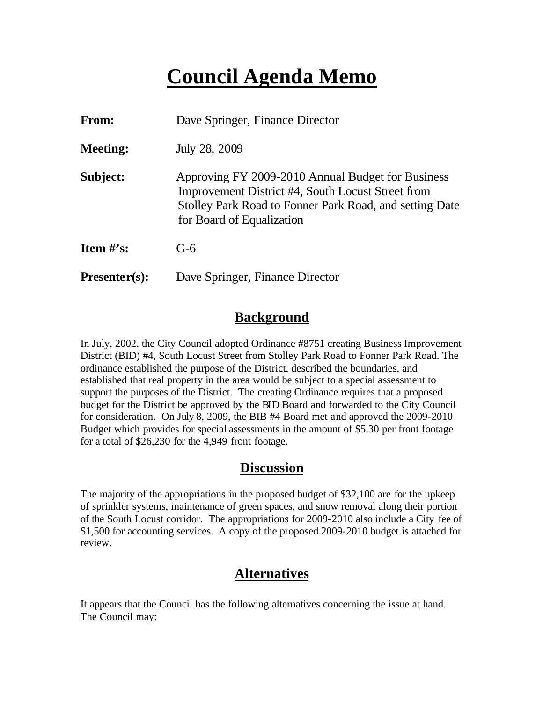## **Council Agenda Memo**

| <b>From:</b>    | Dave Springer, Finance Director                                                                                                                                                                |  |  |
|-----------------|------------------------------------------------------------------------------------------------------------------------------------------------------------------------------------------------|--|--|
| <b>Meeting:</b> | July 28, 2009                                                                                                                                                                                  |  |  |
| Subject:        | Approving FY 2009-2010 Annual Budget for Business<br>Improvement District #4, South Locust Street from<br>Stolley Park Road to Fonner Park Road, and setting Date<br>for Board of Equalization |  |  |
| Item $\#$ 's:   | $G-6$                                                                                                                                                                                          |  |  |
| $Presenter(s):$ | Dave Springer, Finance Director                                                                                                                                                                |  |  |

#### **Background**

In July, 2002, the City Council adopted Ordinance #8751 creating Business Improvement District (BID) #4, South Locust Street from Stolley Park Road to Fonner Park Road. The ordinance established the purpose of the District, described the boundaries, and established that real property in the area would be subject to a special assessment to support the purposes of the District. The creating Ordinance requires that a proposed budget for the District be approved by the BID Board and forwarded to the City Council for consideration. On July 8, 2009, the BIB #4 Board met and approved the 2009-2010 Budget which provides for special assessments in the amount of \$5.30 per front footage for a total of \$26,230 for the 4,949 front footage.

#### **Discussion**

The majority of the appropriations in the proposed budget of \$32,100 are for the upkeep of sprinkler systems, maintenance of green spaces, and snow removal along their portion of the South Locust corridor. The appropriations for 2009-2010 also include a City fee of \$1,500 for accounting services. A copy of the proposed 2009-2010 budget is attached for review.

## **Alternatives**

It appears that the Council has the following alternatives concerning the issue at hand. The Council may: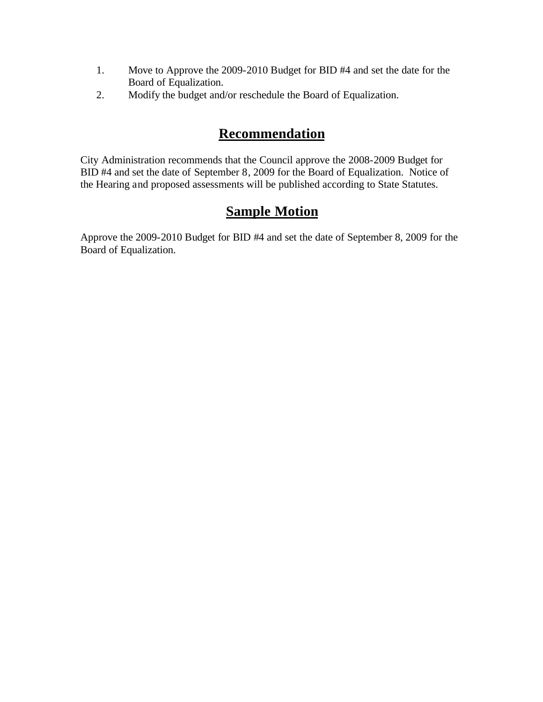- 1. Move to Approve the 2009-2010 Budget for BID #4 and set the date for the Board of Equalization.
- 2. Modify the budget and/or reschedule the Board of Equalization.

### **Recommendation**

City Administration recommends that the Council approve the 2008-2009 Budget for BID #4 and set the date of September 8, 2009 for the Board of Equalization. Notice of the Hearing and proposed assessments will be published according to State Statutes.

## **Sample Motion**

Approve the 2009-2010 Budget for BID #4 and set the date of September 8, 2009 for the Board of Equalization.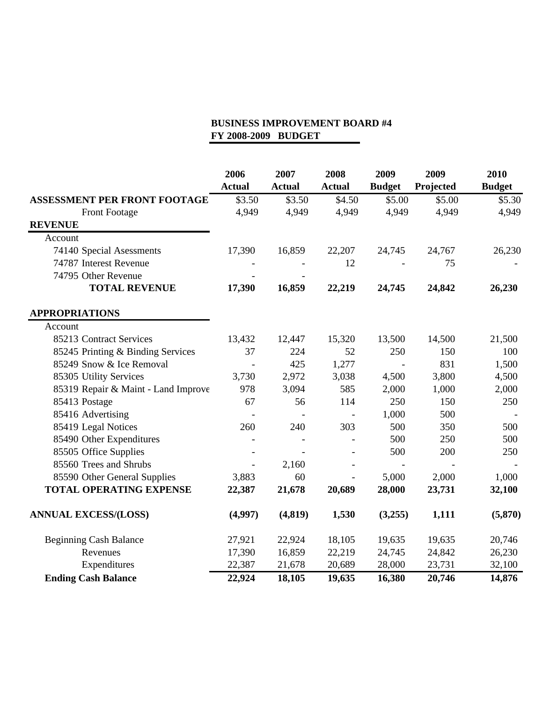|                                     | 2006<br><b>Actual</b> | 2007<br><b>Actual</b> | 2008<br><b>Actual</b> | 2009<br><b>Budget</b> | 2009<br>Projected | 2010<br><b>Budget</b> |
|-------------------------------------|-----------------------|-----------------------|-----------------------|-----------------------|-------------------|-----------------------|
| <b>ASSESSMENT PER FRONT FOOTAGE</b> | \$3.50                | \$3.50                | \$4.50                | \$5.00                | \$5.00            | \$5.30                |
| Front Footage                       | 4,949                 | 4,949                 | 4,949                 | 4,949                 | 4,949             | 4,949                 |
| <b>REVENUE</b>                      |                       |                       |                       |                       |                   |                       |
| Account                             |                       |                       |                       |                       |                   |                       |
| 74140 Special Asessments            | 17,390                | 16,859                | 22,207                | 24,745                | 24,767            | 26,230                |
| 74787 Interest Revenue              |                       |                       | 12                    |                       | 75                |                       |
| 74795 Other Revenue                 |                       |                       |                       |                       |                   |                       |
| <b>TOTAL REVENUE</b>                | 17,390                | 16,859                | 22,219                | 24,745                | 24,842            | 26,230                |
| <b>APPROPRIATIONS</b>               |                       |                       |                       |                       |                   |                       |
| Account                             |                       |                       |                       |                       |                   |                       |
| 85213 Contract Services             | 13,432                | 12,447                | 15,320                | 13,500                | 14,500            | 21,500                |
| 85245 Printing & Binding Services   | 37                    | 224                   | 52                    | 250                   | 150               | 100                   |
| 85249 Snow & Ice Removal            |                       | 425                   | 1,277                 | $\blacksquare$        | 831               | 1,500                 |
| 85305 Utility Services              | 3,730                 | 2,972                 | 3,038                 | 4,500                 | 3,800             | 4,500                 |
| 85319 Repair & Maint - Land Improve | 978                   | 3,094                 | 585                   | 2,000                 | 1,000             | 2,000                 |
| 85413 Postage                       | 67                    | 56                    | 114                   | 250                   | 150               | 250                   |
| 85416 Advertising                   |                       |                       |                       | 1,000                 | 500               |                       |
| 85419 Legal Notices                 | 260                   | 240                   | 303                   | 500                   | 350               | 500                   |
| 85490 Other Expenditures            |                       |                       |                       | 500                   | 250               | 500                   |
| 85505 Office Supplies               |                       |                       |                       | 500                   | 200               | 250                   |
| 85560 Trees and Shrubs              | $\blacksquare$        | 2,160                 |                       |                       |                   |                       |
| 85590 Other General Supplies        | 3,883                 | 60                    |                       | 5,000                 | 2,000             | 1,000                 |
| <b>TOTAL OPERATING EXPENSE</b>      | 22,387                | 21,678                | 20,689                | 28,000                | 23,731            | 32,100                |
| <b>ANNUAL EXCESS/(LOSS)</b>         | (4,997)               | (4, 819)              | 1,530                 | (3,255)               | 1,111             | (5, 870)              |
| <b>Beginning Cash Balance</b>       | 27,921                | 22,924                | 18,105                | 19,635                | 19,635            | 20,746                |
| Revenues                            | 17,390                | 16,859                | 22,219                | 24,745                | 24,842            | 26,230                |
| Expenditures                        | 22,387                | 21,678                | 20,689                | 28,000                | 23,731            | 32,100                |
| <b>Ending Cash Balance</b>          | 22,924                | 18,105                | 19,635                | 16,380                | 20,746            | 14,876                |

#### **BUSINESS IMPROVEMENT BOARD #4 FY 2008-2009 BUDGET**